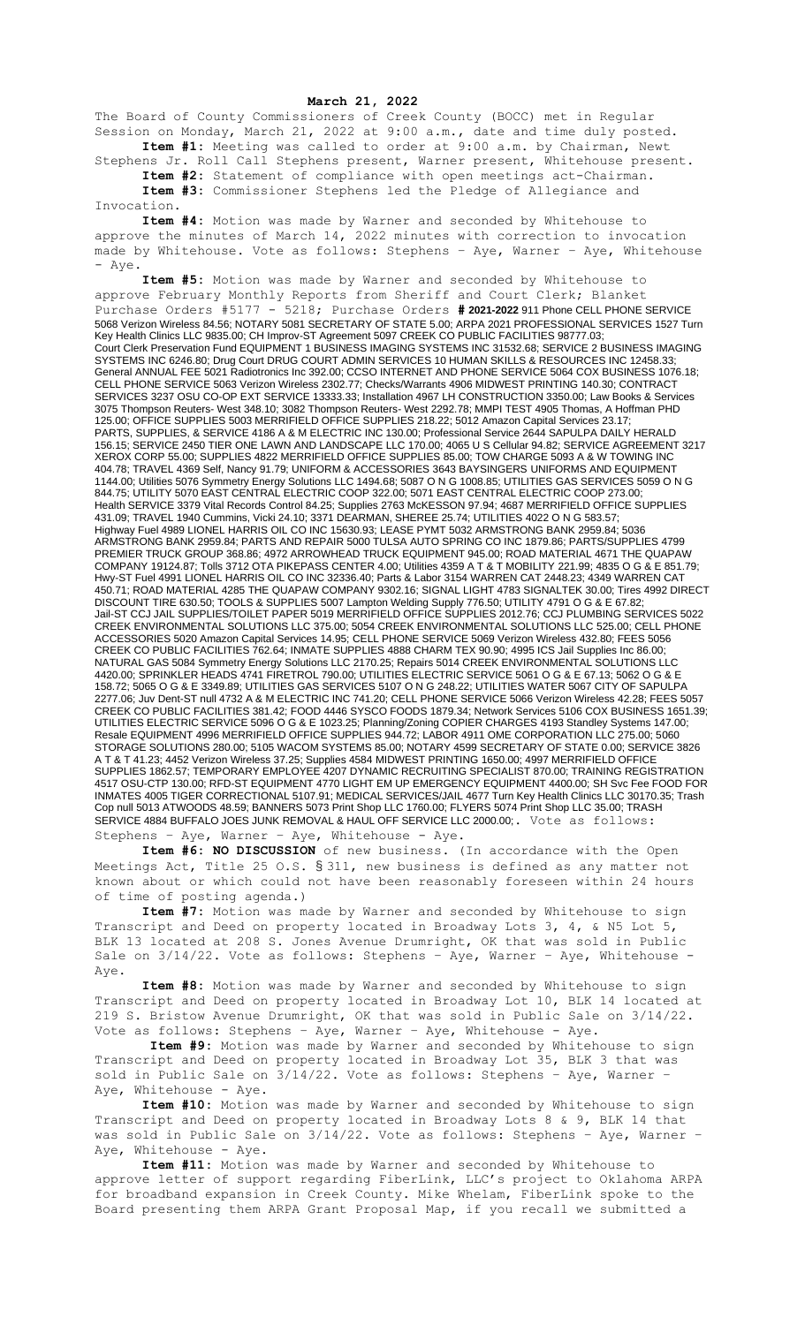## **March 21, 2022**

The Board of County Commissioners of Creek County (BOCC) met in Regular Session on Monday, March 21, 2022 at 9:00 a.m., date and time duly posted. **Item #1:** Meeting was called to order at 9:00 a.m. by Chairman, Newt

Stephens Jr. Roll Call Stephens present, Warner present, Whitehouse present. **Item #2:** Statement of compliance with open meetings act-Chairman.

**Item #3:** Commissioner Stephens led the Pledge of Allegiance and Invocation.

**Item #4:** Motion was made by Warner and seconded by Whitehouse to approve the minutes of March 14, 2022 minutes with correction to invocation made by Whitehouse. Vote as follows: Stephens – Aye, Warner – Aye, Whitehouse - Aye.

**Item #5:** Motion was made by Warner and seconded by Whitehouse to approve February Monthly Reports from Sheriff and Court Clerk; Blanket Purchase Orders #5177 - 5218; Purchase Orders **# 2021-2022** 911 Phone CELL PHONE SERVICE 5068 Verizon Wireless 84.56; NOTARY 5081 SECRETARY OF STATE 5.00; ARPA 2021 PROFESSIONAL SERVICES 1527 Turn Key Health Clinics LLC 9835.00; CH Improv-ST Agreement 5097 CREEK CO PUBLIC FACILITIES 98777.03; Court Clerk Preservation Fund EQUIPMENT 1 BUSINESS IMAGING SYSTEMS INC 31532.68; SERVICE 2 BUSINESS IMAGING SYSTEMS INC 6246.80; Drug Court DRUG COURT ADMIN SERVICES 10 HUMAN SKILLS & RESOURCES INC 12458.33; General ANNUAL FEE 5021 Radiotronics Inc 392.00; CCSO INTERNET AND PHONE SERVICE 5064 COX BUSINESS 1076.18; CELL PHONE SERVICE 5063 Verizon Wireless 2302.77; Checks/Warrants 4906 MIDWEST PRINTING 140.30; CONTRACT SERVICES 3237 OSU CO-OP EXT SERVICE 13333.33; Installation 4967 LH CONSTRUCTION 3350.00; Law Books & Services 3075 Thompson Reuters- West 348.10; 3082 Thompson Reuters- West 2292.78; MMPI TEST 4905 Thomas, A Hoffman PHD 125.00; OFFICE SUPPLIES 5003 MERRIFIELD OFFICE SUPPLIES 218.22; 5012 Amazon Capital Services 23.17; PARTS, SUPPLIES, & SERVICE 4186 A & M ELECTRIC INC 130.00; Professional Service 2644 SAPULPA DAILY HERALD 156.15; SERVICE 2450 TIER ONE LAWN AND LANDSCAPE LLC 170.00; 4065 U S Cellular 94.82; SERVICE AGREEMENT 3217 XEROX CORP 55.00; SUPPLIES 4822 MERRIFIELD OFFICE SUPPLIES 85.00; TOW CHARGE 5093 A & W TOWING INC 404.78; TRAVEL 4369 Self, Nancy 91.79; UNIFORM & ACCESSORIES 3643 BAYSINGERS UNIFORMS AND EQUIPMENT 1144.00; Utilities 5076 Symmetry Energy Solutions LLC 1494.68; 5087 O N G 1008.85; UTILITIES GAS SERVICES 5059 O N G 844.75; UTILITY 5070 EAST CENTRAL ELECTRIC COOP 322.00; 5071 EAST CENTRAL ELECTRIC COOP 273.00; Health SERVICE 3379 Vital Records Control 84.25; Supplies 2763 McKESSON 97.94; 4687 MERRIFIELD OFFICE SUPPLIES 431.09; TRAVEL 1940 Cummins, Vicki 24.10; 3371 DEARMAN, SHEREE 25.74; UTILITIES 4022 O N G 583.57; Highway Fuel 4989 LIONEL HARRIS OIL CO INC 15630.93; LEASE PYMT 5032 ARMSTRONG BANK 2959.84; 5036 ARMSTRONG BANK 2959.84; PARTS AND REPAIR 5000 TULSA AUTO SPRING CO INC 1879.86; PARTS/SUPPLIES 4799 PREMIER TRUCK GROUP 368.86; 4972 ARROWHEAD TRUCK EQUIPMENT 945.00; ROAD MATERIAL 4671 THE QUAPAW COMPANY 19124.87; Tolls 3712 OTA PIKEPASS CENTER 4.00; Utilities 4359 A T & T MOBILITY 221.99; 4835 O G & E 851.79; Hwy-ST Fuel 4991 LIONEL HARRIS OIL CO INC 32336.40; Parts & Labor 3154 WARREN CAT 2448.23; 4349 WARREN CAT 450.71; ROAD MATERIAL 4285 THE QUAPAW COMPANY 9302.16; SIGNAL LIGHT 4783 SIGNALTEK 30.00; Tires 4992 DIRECT DISCOUNT TIRE 630.50; TOOLS & SUPPLIES 5007 Lampton Welding Supply 776.50; UTILITY 4791 O G & E 67.82; Jail-ST CCJ JAIL SUPPLIES/TOILET PAPER 5019 MERRIFIELD OFFICE SUPPLIES 2012.76; CCJ PLUMBING SERVICES 5022 CREEK ENVIRONMENTAL SOLUTIONS LLC 375.00; 5054 CREEK ENVIRONMENTAL SOLUTIONS LLC 525.00; CELL PHONE ACCESSORIES 5020 Amazon Capital Services 14.95; CELL PHONE SERVICE 5069 Verizon Wireless 432.80; FEES 5056 CREEK CO PUBLIC FACILITIES 762.64; INMATE SUPPLIES 4888 CHARM TEX 90.90; 4995 ICS Jail Supplies Inc 86.00; NATURAL GAS 5084 Symmetry Energy Solutions LLC 2170.25; Repairs 5014 CREEK ENVIRONMENTAL SOLUTIONS LLC 4420.00; SPRINKLER HEADS 4741 FIRETROL 790.00; UTILITIES ELECTRIC SERVICE 5061 O G & E 67.13; 5062 O G & E 158.72; 5065 O G & E 3349.89; UTILITIES GAS SERVICES 5107 O N G 248.22; UTILITIES WATER 5067 CITY OF SAPULPA 2277.06; Juv Dent-ST null 4732 A & M ELECTRIC INC 741.20; CELL PHONE SERVICE 5066 Verizon Wireless 42.28; FEES 5057 CREEK CO PUBLIC FACILITIES 381.42; FOOD 4446 SYSCO FOODS 1879.34; Network Services 5106 COX BUSINESS 1651.39; UTILITIES ELECTRIC SERVICE 5096 O G & E 1023.25; Planning/Zoning COPIER CHARGES 4193 Standley Systems 147.00; Resale EQUIPMENT 4996 MERRIFIELD OFFICE SUPPLIES 944.72; LABOR 4911 OME CORPORATION LLC 275.00; 5060 STORAGE SOLUTIONS 280.00; 5105 WACOM SYSTEMS 85.00; NOTARY 4599 SECRETARY OF STATE 0.00; SERVICE 3826 A T & T 41.23; 4452 Verizon Wireless 37.25; Supplies 4584 MIDWEST PRINTING 1650.00; 4997 MERRIFIELD OFFICE SUPPLIES 1862.57; TEMPORARY EMPLOYEE 4207 DYNAMIC RECRUITING SPECIALIST 870.00; TRAINING REGISTRATION 4517 OSU-CTP 130.00; RFD-ST EQUIPMENT 4770 LIGHT EM UP EMERGENCY EQUIPMENT 4400.00; SH Svc Fee FOOD FOR INMATES 4005 TIGER CORRECTIONAL 5107.91; MEDICAL SERVICES/JAIL 4677 Turn Key Health Clinics LLC 30170.35; Trash Cop null 5013 ATWOODS 48.59; BANNERS 5073 Print Shop LLC 1760.00; FLYERS 5074 Print Shop LLC 35.00; TRASH SERVICE 4884 BUFFALO JOES JUNK REMOVAL & HAUL OFF SERVICE LLC 2000.00;. Vote as follows: Stephens – Aye, Warner – Aye, Whitehouse - Aye.

**Item #6: NO DISCUSSION** of new business. (In accordance with the Open Meetings Act, Title 25 O.S. § 311, new business is defined as any matter not known about or which could not have been reasonably foreseen within 24 hours of time of posting agenda.)

**Item #7:** Motion was made by Warner and seconded by Whitehouse to sign Transcript and Deed on property located in Broadway Lots 3, 4, & N5 Lot 5, BLK 13 located at 208 S. Jones Avenue Drumright, OK that was sold in Public Sale on  $3/14/22$ . Vote as follows: Stephens - Aye, Warner - Aye, Whitehouse -Aye.

**Item #8:** Motion was made by Warner and seconded by Whitehouse to sign Transcript and Deed on property located in Broadway Lot 10, BLK 14 located at 219 S. Bristow Avenue Drumright, OK that was sold in Public Sale on 3/14/22. Vote as follows: Stephens – Aye, Warner – Aye, Whitehouse - Aye.

**Item #9:** Motion was made by Warner and seconded by Whitehouse to sign Transcript and Deed on property located in Broadway Lot 35, BLK 3 that was sold in Public Sale on 3/14/22. Vote as follows: Stephens – Aye, Warner – Aye, Whitehouse - Aye.

**Item #10:** Motion was made by Warner and seconded by Whitehouse to sign Transcript and Deed on property located in Broadway Lots 8 & 9, BLK 14 that was sold in Public Sale on 3/14/22. Vote as follows: Stephens – Aye, Warner – Aye, Whitehouse - Aye.

**Item #11:** Motion was made by Warner and seconded by Whitehouse to approve letter of support regarding FiberLink, LLC's project to Oklahoma ARPA for broadband expansion in Creek County. Mike Whelam, FiberLink spoke to the Board presenting them ARPA Grant Proposal Map, if you recall we submitted a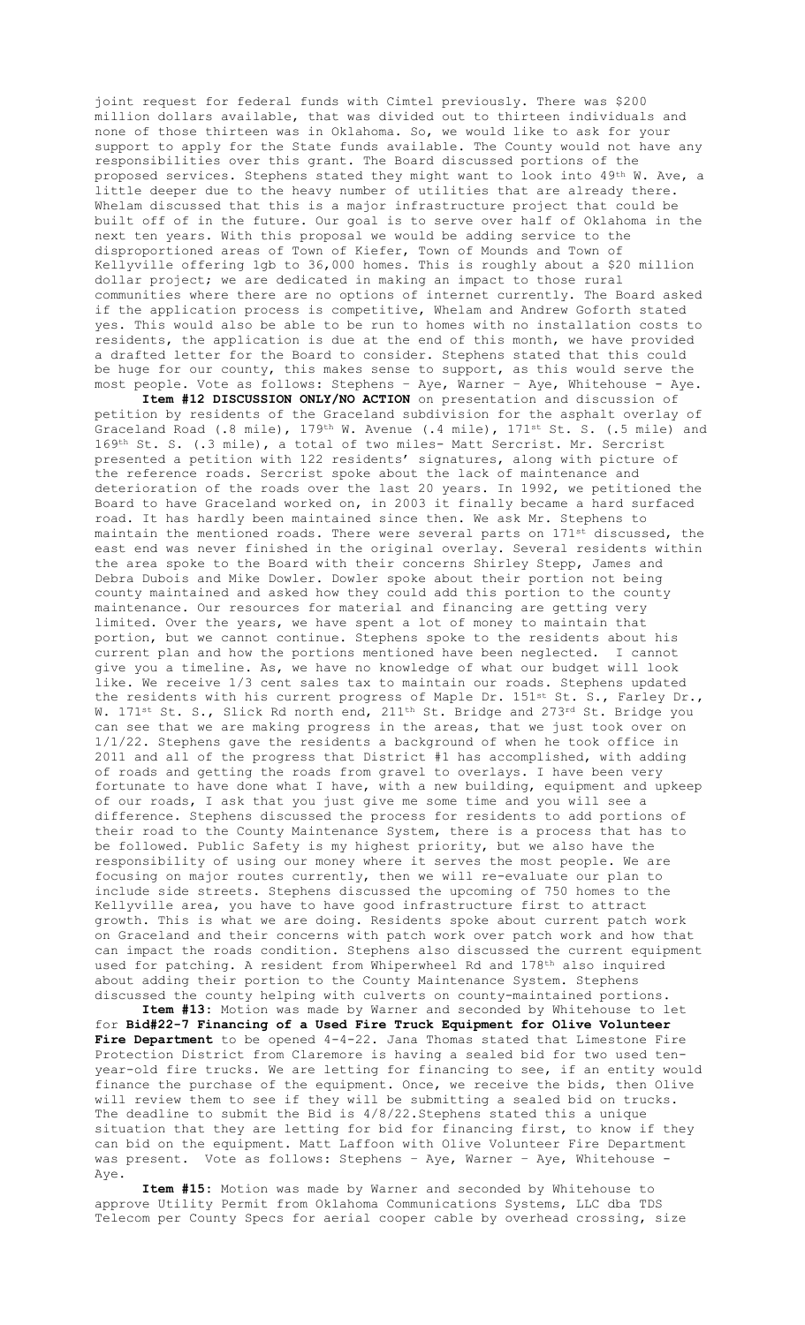joint request for federal funds with Cimtel previously. There was \$200 million dollars available, that was divided out to thirteen individuals and none of those thirteen was in Oklahoma. So, we would like to ask for your support to apply for the State funds available. The County would not have any responsibilities over this grant. The Board discussed portions of the proposed services. Stephens stated they might want to look into 49th W. Ave, a little deeper due to the heavy number of utilities that are already there. Whelam discussed that this is a major infrastructure project that could be built off of in the future. Our goal is to serve over half of Oklahoma in the next ten years. With this proposal we would be adding service to the disproportioned areas of Town of Kiefer, Town of Mounds and Town of Kellyville offering 1gb to 36,000 homes. This is roughly about a \$20 million dollar project; we are dedicated in making an impact to those rural communities where there are no options of internet currently. The Board asked if the application process is competitive, Whelam and Andrew Goforth stated yes. This would also be able to be run to homes with no installation costs to residents, the application is due at the end of this month, we have provided a drafted letter for the Board to consider. Stephens stated that this could be huge for our county, this makes sense to support, as this would serve the most people. Vote as follows: Stephens – Aye, Warner – Aye, Whitehouse - Aye.

**Item #12 DISCUSSION ONLY/NO ACTION** on presentation and discussion of petition by residents of the Graceland subdivision for the asphalt overlay of Graceland Road (.8 mile), 179<sup>th</sup> W. Avenue (.4 mile), 171<sup>st</sup> St. S. (.5 mile) and 169th St. S. (.3 mile), a total of two miles- Matt Sercrist. Mr. Sercrist presented a petition with 122 residents' signatures, along with picture of the reference roads. Sercrist spoke about the lack of maintenance and deterioration of the roads over the last 20 years. In 1992, we petitioned the Board to have Graceland worked on, in 2003 it finally became a hard surfaced road. It has hardly been maintained since then. We ask Mr. Stephens to maintain the mentioned roads. There were several parts on 171<sup>st</sup> discussed, the east end was never finished in the original overlay. Several residents within the area spoke to the Board with their concerns Shirley Stepp, James and Debra Dubois and Mike Dowler. Dowler spoke about their portion not being county maintained and asked how they could add this portion to the county maintenance. Our resources for material and financing are getting very limited. Over the years, we have spent a lot of money to maintain that portion, but we cannot continue. Stephens spoke to the residents about his current plan and how the portions mentioned have been neglected. I cannot give you a timeline. As, we have no knowledge of what our budget will look like. We receive 1/3 cent sales tax to maintain our roads. Stephens updated the residents with his current progress of Maple Dr. 151st St. S., Farley Dr., W. 171<sup>st</sup> St. S., Slick Rd north end, 211<sup>th</sup> St. Bridge and 273<sup>rd</sup> St. Bridge you can see that we are making progress in the areas, that we just took over on 1/1/22. Stephens gave the residents a background of when he took office in 2011 and all of the progress that District #1 has accomplished, with adding of roads and getting the roads from gravel to overlays. I have been very fortunate to have done what I have, with a new building, equipment and upkeep of our roads, I ask that you just give me some time and you will see a difference. Stephens discussed the process for residents to add portions of their road to the County Maintenance System, there is a process that has to be followed. Public Safety is my highest priority, but we also have the responsibility of using our money where it serves the most people. We are focusing on major routes currently, then we will re-evaluate our plan to include side streets. Stephens discussed the upcoming of 750 homes to the Kellyville area, you have to have good infrastructure first to attract growth. This is what we are doing. Residents spoke about current patch work on Graceland and their concerns with patch work over patch work and how that can impact the roads condition. Stephens also discussed the current equipment used for patching. A resident from Whiperwheel Rd and 178th also inquired about adding their portion to the County Maintenance System. Stephens discussed the county helping with culverts on county-maintained portions.

**Item #13:** Motion was made by Warner and seconded by Whitehouse to let for **Bid#22-7 Financing of a Used Fire Truck Equipment for Olive Volunteer Fire Department** to be opened 4-4-22. Jana Thomas stated that Limestone Fire Protection District from Claremore is having a sealed bid for two used tenyear-old fire trucks. We are letting for financing to see, if an entity would finance the purchase of the equipment. Once, we receive the bids, then Olive will review them to see if they will be submitting a sealed bid on trucks. The deadline to submit the Bid is 4/8/22.Stephens stated this a unique situation that they are letting for bid for financing first, to know if they can bid on the equipment. Matt Laffoon with Olive Volunteer Fire Department was present. Vote as follows: Stephens – Aye, Warner – Aye, Whitehouse - Aye.

**Item #15:** Motion was made by Warner and seconded by Whitehouse to approve Utility Permit from Oklahoma Communications Systems, LLC dba TDS Telecom per County Specs for aerial cooper cable by overhead crossing, size